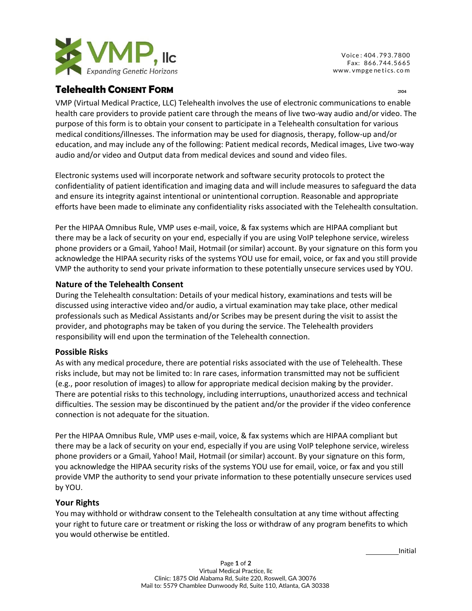

Voice : 404 . 793.7800 Fax: 866.744.5665 www. [vmpge](http://www.vmpgenetics.com/) netics. com

# **Telehealth CONSENT FORM** <sup>2104</sup>

VMP (Virtual Medical Practice, LLC) Telehealth involves the use of electronic communications to enable health care providers to provide patient care through the means of live two-way audio and/or video. The purpose of this form is to obtain your consent to participate in a Telehealth consultation for various medical conditions/illnesses. The information may be used for diagnosis, therapy, follow-up and/or education, and may include any of the following: Patient medical records, Medical images, Live two-way audio and/or video and Output data from medical devices and sound and video files.

Electronic systems used will incorporate network and software security protocols to protect the confidentiality of patient identification and imaging data and will include measures to safeguard the data and ensure its integrity against intentional or unintentional corruption. Reasonable and appropriate efforts have been made to eliminate any confidentiality risks associated with the Telehealth consultation.

Per the HIPAA Omnibus Rule, VMP uses e-mail, voice, & fax systems which are HIPAA compliant but there may be a lack of security on your end, especially if you are using VoIP telephone service, wireless phone providers or a Gmail, Yahoo! Mail, Hotmail (or similar) account. By your signature on this form you acknowledge the HIPAA security risks of the systems YOU use for email, voice, or fax and you still provide VMP the authority to send your private information to these potentially unsecure services used by YOU.

## **Nature of the Telehealth Consent**

During the Telehealth consultation: Details of your medical history, examinations and tests will be discussed using interactive video and/or audio, a virtual examination may take place, other medical professionals such as Medical Assistants and/or Scribes may be present during the visit to assist the provider, and photographs may be taken of you during the service. The Telehealth providers responsibility will end upon the termination of the Telehealth connection.

#### **Possible Risks**

As with any medical procedure, there are potential risks associated with the use of Telehealth. These risks include, but may not be limited to: In rare cases, information transmitted may not be sufficient (e.g., poor resolution of images) to allow for appropriate medical decision making by the provider. There are potential risks to this technology, including interruptions, unauthorized access and technical difficulties. The session may be discontinued by the patient and/or the provider if the video conference connection is not adequate for the situation.

Per the HIPAA Omnibus Rule, VMP uses e-mail, voice, & fax systems which are HIPAA compliant but there may be a lack of security on your end, especially if you are using VoIP telephone service, wireless phone providers or a Gmail, Yahoo! Mail, Hotmail (or similar) account. By your signature on this form, you acknowledge the HIPAA security risks of the systems YOU use for email, voice, or fax and you still provide VMP the authority to send your private information to these potentially unsecure services used by YOU.

#### **Your Rights**

You may withhold or withdraw consent to the Telehealth consultation at any time without affecting your right to future care or treatment or risking the loss or withdraw of any program benefits to which you would otherwise be entitled.

Initial